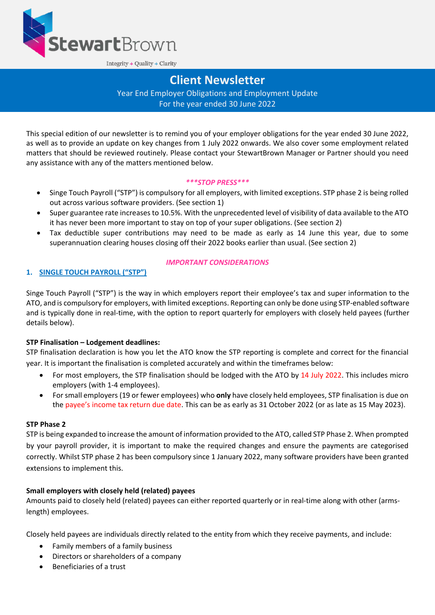

Integrity + Quality + Clarity

# **Client Newsletter**

Year End Employer Obligations and Employment Update For the year ended 30 June 2022

This special edition of our newsletter is to remind you of your employer obligations for the year ended 30 June 2022, as well as to provide an update on key changes from 1 July 2022 onwards. We also cover some employment related matters that should be reviewed routinely. Please contact your StewartBrown Manager or Partner should you need any assistance with any of the matters mentioned below.

#### *\*\*\*STOP PRESS\*\*\**

- Singe Touch Payroll ("STP") is compulsory for all employers, with limited exceptions. STP phase 2 is being rolled out across various software providers. (See section 1)
- Super guarantee rate increases to 10.5%. With the unprecedented level of visibility of data available to the ATO it has never been more important to stay on top of your super obligations. (See section 2)
- Tax deductible super contributions may need to be made as early as 14 June this year, due to some superannuation clearing houses closing off their 2022 books earlier than usual. (See section 2)

# **1. SINGLE TOUCH PAYROLL ("STP")**

#### *IMPORTANT CONSIDERATIONS*

Singe Touch Payroll ("STP") is the way in which employers report their employee's tax and super information to the ATO, and is compulsory for employers, with limited exceptions. Reporting can only be done using STP-enabled software and is typically done in real-time, with the option to report quarterly for employers with closely held payees (further details below).

#### **STP Finalisation – Lodgement deadlines:**

STP finalisation declaration is how you let the ATO know the STP reporting is complete and correct for the financial year. It is important the finalisation is completed accurately and within the timeframes below:

- For most employers, the STP finalisation should be lodged with the ATO by 14 July 2022. This includes micro employers (with 1-4 employees).
- For small employers (19 or fewer employees) who **only** have closely held employees, STP finalisation is due on the payee's income tax return due date. This can be as early as 31 October 2022 (or as late as 15 May 2023).

#### **STP Phase 2**

STP is being expanded to increase the amount of information provided to the ATO, called STP Phase 2. When prompted by your payroll provider, it is important to make the required changes and ensure the payments are categorised correctly. Whilst STP phase 2 has been compulsory since 1 January 2022, many software providers have been granted extensions to implement this.

#### **Small employers with closely held (related) payees**

Amounts paid to closely held (related) payees can either reported quarterly or in real-time along with other (armslength) employees.

Closely held payees are individuals directly related to the entity from which they receive payments, and include:

- Family members of a family business
- Directors or shareholders of a company
- Beneficiaries of a trust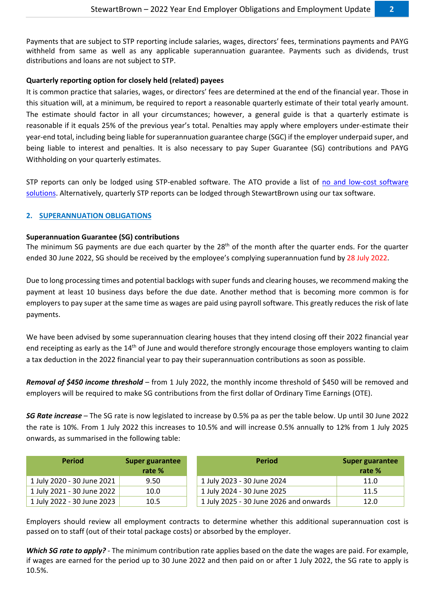Payments that are subject to STP reporting include salaries, wages, directors' fees, terminations payments and PAYG withheld from same as well as any applicable superannuation guarantee. Payments such as dividends, trust distributions and loans are not subject to STP.

# **Quarterly reporting option for closely held (related) payees**

It is common practice that salaries, wages, or directors' fees are determined at the end of the financial year. Those in this situation will, at a minimum, be required to report a reasonable quarterly estimate of their total yearly amount. The estimate should factor in all your circumstances; however, a general guide is that a quarterly estimate is reasonable if it equals 25% of the previous year's total. Penalties may apply where employers under-estimate their year-end total, including being liable for superannuation guarantee charge (SGC) if the employer underpaid super, and being liable to interest and penalties. It is also necessary to pay Super Guarantee (SG) contributions and PAYG Withholding on your quarterly estimates.

STP reports can only be lodged using STP-enabled software. The ATO provide a list of [no and low-cost software](https://softwaredevelopers.ato.gov.au/no-cost-and-low-cost-solutions-single-touch-payroll)  [solutions.](https://softwaredevelopers.ato.gov.au/no-cost-and-low-cost-solutions-single-touch-payroll) Alternatively, quarterly STP reports can be lodged through StewartBrown using our tax software.

# **2. SUPERANNUATION OBLIGATIONS**

# **Superannuation Guarantee (SG) contributions**

The minimum SG payments are due each quarter by the 28<sup>th</sup> of the month after the quarter ends. For the quarter ended 30 June 2022, SG should be received by the employee's complying superannuation fund by 28 July 2022.

Due to long processing times and potential backlogs with super funds and clearing houses, we recommend making the payment at least 10 business days before the due date. Another method that is becoming more common is for employers to pay super at the same time as wages are paid using payroll software. This greatly reduces the risk of late payments.

We have been advised by some superannuation clearing houses that they intend closing off their 2022 financial year end receipting as early as the 14<sup>th</sup> of June and would therefore strongly encourage those employers wanting to claim a tax deduction in the 2022 financial year to pay their superannuation contributions as soon as possible.

*Removal of \$450 income threshold* – from 1 July 2022, the monthly income threshold of \$450 will be removed and employers will be required to make SG contributions from the first dollar of Ordinary Time Earnings (OTE).

*SG Rate increase* – The SG rate is now legislated to increase by 0.5% pa as per the table below. Up until 30 June 2022 the rate is 10%. From 1 July 2022 this increases to 10.5% and will increase 0.5% annually to 12% from 1 July 2025 onwards, as summarised in the following table:

| <b>Period</b>              | Super guarantee | <b>Period</b>                          | Super guarantee |
|----------------------------|-----------------|----------------------------------------|-----------------|
|                            | rate %          |                                        | rate %          |
| 1 July 2020 - 30 June 2021 | 9.50            | 1 July 2023 - 30 June 2024             | 11.0            |
| 1 July 2021 - 30 June 2022 | 10.0            | 1 July 2024 - 30 June 2025             | 11.5            |
| 1 July 2022 - 30 June 2023 | 10.5            | 1 July 2025 - 30 June 2026 and onwards | 12.0            |

Employers should review all employment contracts to determine whether this additional superannuation cost is passed on to staff (out of their total package costs) or absorbed by the employer.

*Which SG rate to apply?* - The minimum contribution rate applies based on the date the wages are paid. For example, if wages are earned for the period up to 30 June 2022 and then paid on or after 1 July 2022, the SG rate to apply is 10.5%.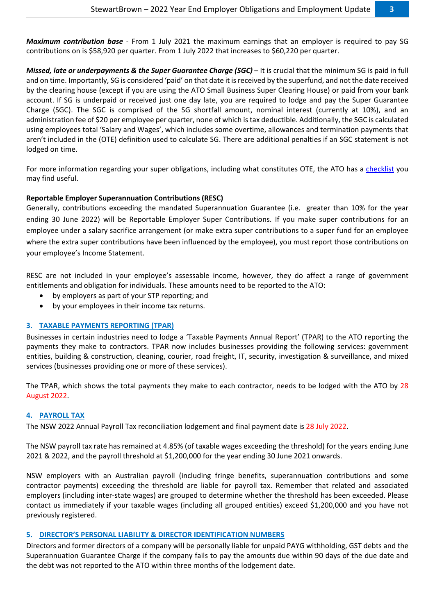*Maximum contribution base -* From 1 July 2021 the maximum earnings that an employer is required to pay SG contributions on is \$58,920 per quarter. From 1 July 2022 that increases to \$60,220 per quarter.

*Missed, late or underpayments & the Super Guarantee Charge (SGC)* – It is crucial that the minimum SG is paid in full and on time. Importantly, SG is considered 'paid' on that date it is received by the superfund, and not the date received by the clearing house (except if you are using the ATO Small Business Super Clearing House) or paid from your bank account. If SG is underpaid or received just one day late, you are required to lodge and pay the Super Guarantee Charge (SGC). The SGC is comprised of the SG shortfall amount, nominal interest (currently at 10%), and an administration fee of \$20 per employee per quarter, none of which is tax deductible. Additionally, the SGC is calculated using employees total 'Salary and Wages', which includes some overtime, allowances and termination payments that aren't included in the (OTE) definition used to calculate SG. There are additional penalties if an SGC statement is not lodged on time.

For more information regarding your super obligations, including what constitutes OTE, the ATO has a [checklist](https://www.ato.gov.au/Business/Super-for-employers/Super-obligations-for-employers-checklist/) you may find useful.

# **Reportable Employer Superannuation Contributions (RESC)**

Generally, contributions exceeding the mandated Superannuation Guarantee (i.e. greater than 10% for the year ending 30 June 2022) will be Reportable Employer Super Contributions. If you make super contributions for an employee under a salary sacrifice arrangement (or make extra super contributions to a super fund for an employee where the extra super contributions have been influenced by the employee), you must report those contributions on your employee's Income Statement.

RESC are not included in your employee's assessable income, however, they do affect a range of government entitlements and obligation for individuals. These amounts need to be reported to the ATO:

- by employers as part of your STP reporting; and
- by your employees in their income tax returns.

#### **3. TAXABLE PAYMENTS REPORTING (TPAR)**

Businesses in certain industries need to lodge a 'Taxable Payments Annual Report' (TPAR) to the ATO reporting the payments they make to contractors. TPAR now includes businesses providing the following services: government entities, building & construction, cleaning, courier, road freight, IT, security, investigation & surveillance, and mixed services (businesses providing one or more of these services).

The TPAR, which shows the total payments they make to each contractor, needs to be lodged with the ATO by 28 August 2022.

#### **4. PAYROLL TAX**

The NSW 2022 Annual Payroll Tax reconciliation lodgement and final payment date is 28 July 2022.

The NSW payroll tax rate has remained at 4.85% (of taxable wages exceeding the threshold) for the years ending June 2021 & 2022, and the payroll threshold at \$1,200,000 for the year ending 30 June 2021 onwards.

NSW employers with an Australian payroll (including fringe benefits, superannuation contributions and some contractor payments) exceeding the threshold are liable for payroll tax. Remember that related and associated employers (including inter-state wages) are grouped to determine whether the threshold has been exceeded. Please contact us immediately if your taxable wages (including all grouped entities) exceed \$1,200,000 and you have not previously registered.

#### **5. DIRECTOR'S PERSONAL LIABILITY & DIRECTOR IDENTIFICATION NUMBERS**

Directors and former directors of a company will be personally liable for unpaid PAYG withholding, GST debts and the Superannuation Guarantee Charge if the company fails to pay the amounts due within 90 days of the due date and the debt was not reported to the ATO within three months of the lodgement date.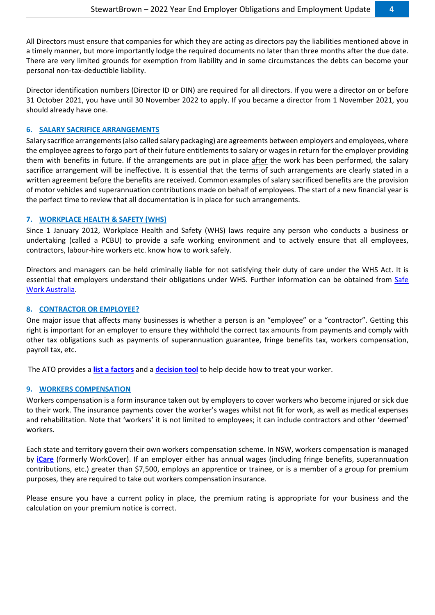All Directors must ensure that companies for which they are acting as directors pay the liabilities mentioned above in a timely manner, but more importantly lodge the required documents no later than three months after the due date. There are very limited grounds for exemption from liability and in some circumstances the debts can become your personal non-tax-deductible liability.

Director identification numbers (Director ID or DIN) are required for all directors. If you were a director on or before 31 October 2021, you have until 30 November 2022 to apply. If you became a director from 1 November 2021, you should already have one.

#### **6. SALARY SACRIFICE ARRANGEMENTS**

Salary sacrifice arrangements (also called salary packaging) are agreements between employers and employees, where the employee agrees to forgo part of their future entitlements to salary or wages in return for the employer providing them with benefits in future. If the arrangements are put in place after the work has been performed, the salary sacrifice arrangement will be ineffective. It is essential that the terms of such arrangements are clearly stated in a written agreement before the benefits are received. Common examples of salary sacrificed benefits are the provision of motor vehicles and superannuation contributions made on behalf of employees. The start of a new financial year is the perfect time to review that all documentation is in place for such arrangements.

#### **7. WORKPLACE HEALTH & SAFETY (WHS)**

Since 1 January 2012, Workplace Health and Safety (WHS) laws require any person who conducts a business or undertaking (called a PCBU) to provide a safe working environment and to actively ensure that all employees, contractors, labour-hire workers etc. know how to work safely.

Directors and managers can be held criminally liable for not satisfying their duty of care under the WHS Act. It is essential that employers understand their obligations under WHS. Further information can be obtained from [Safe](http://www.safeworkaustralia.gov.au/)  [Work Australia.](http://www.safeworkaustralia.gov.au/)

# **8. CONTRACTOR OR EMPLOYEE?**

One major issue that affects many businesses is whether a person is an "employee" or a "contractor". Getting this right is important for an employer to ensure they withhold the correct tax amounts from payments and comply with other tax obligations such as payments of superannuation guarantee, fringe benefits tax, workers compensation, payroll tax, etc.

The ATO provides a **[list a factors](https://www.ato.gov.au/business/employee-or-contractor/difference-between-employees-and-contractors/)** and a **[decision tool](https://www.ato.gov.au/business/employee-or-contractor/how-to-work-it-out--employee-or-contractor/)** to help decide how to treat your worker.

#### **9. WORKERS COMPENSATION**

Workers compensation is a form insurance taken out by employers to cover workers who become injured or sick due to their work. The insurance payments cover the worker's wages whilst not fit for work, as well as medical expenses and rehabilitation. Note that 'workers' it is not limited to employees; it can include contractors and other 'deemed' workers.

Each state and territory govern their own workers compensation scheme. In NSW, workers compensation is managed by **[iCare](https://www.icare.nsw.gov.au/)** (formerly WorkCover). If an employer either has annual wages (including fringe benefits, superannuation contributions, etc.) greater than \$7,500, employs an apprentice or trainee, or is a member of a group for premium purposes, they are required to take out workers compensation insurance.

Please ensure you have a current policy in place, the premium rating is appropriate for your business and the calculation on your premium notice is correct.